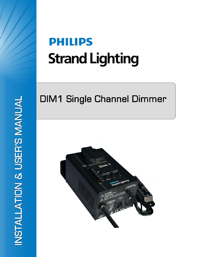# **PHILIPS Strand Lighting**

## **DIM1 Single Channel Dimmer**

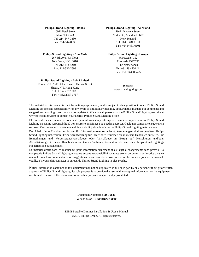#### **Philips Strand Lighting - Dallas**

10911 Petal Street Dallas, TX 75238 Tel: 214-647-7880 Fax: 214-647-8030

#### **Philips Strand Lighting - New York**

267 5th Ave, 4th Floor New York, NY 10016 Tel: 212-213-8219 Fax: 212-532-2593

#### **Philips Strand Lighting - Asia Limited**

Room 6-10, 20/F Delta House 3 On Yiu Street Shatin, N.T. Hong Kong Tel: + 852 2757 3033 Fax: + 852 2757 1767

#### **Philips Strand Lighting - Auckland**

19-21 Kawana Street Northcote, Auckland 0627 New Zealand Tel: +64 9 481 0100 Fax: +64 9 481 0101

#### **Philips Strand Lighting - Europe**

Marssteden 152 Enschede 7547 TD The Netherlands Tel: +31 53 4500424 Fax: +31 53 4500425

**Website**: www.strandlighting.com

The material in this manual is for information purposes only and is subject to change without notice. Philips Strand Lighting assumes no responsibility for any errors or omissions which may appear in this manual. For comments and suggestions regarding corrections and/or updates to this manual, please visit the Philips Strand Lighting web site at www.seleconlight.com or contact your nearest Philips Strand Lighting office.

El contenido de este manual es solamente para información y está sujeto a cambios sin previo aviso. Philips Strand Lighting no asume responsabilidad por errores o omisiones que puedan aparecer. Cualquier comentario, sugerencia o corrección con respecto a este manual, favor de dirijirlo a la oficina de Philips Strand Lighting más cercana.

Der Inhalt dieses Handbuches ist nur für Informationszwecke gedacht, Aenderungen sind vorbehalten. Philips Strand Lighting uebernimmt keine Verantwortung für Fehler oder Irrtuemer, die in diesem Handbuch auftreten. Für Bemerkungen und Verbesserungsvorschlaege oder Vorschlaege in Bezug auf Korrekturen und/oder Aktualisierungen in diesem Handbuch, moechten wir Sie bitten, Kontakt mit der naechsten Philips Strand Lighting-Niederlassung aufzunehmen.

Le matériel décrit dans ce manuel est pour information seulement et est sujet à changements sans préavis. La compagnie Philips Strand Lighting n'assume aucune responsibilité sur toute erreur ou ommission inscrite dans ce manuel. Pour tous commentaires ou suggestions concernant des corrections et/ou les mises à jour de ce manuel, veuillez s'il vous plait contacter le bureau de Philips Strand Lighting le plus proche.

**Note:** Information contained in this document may not be duplicated in full or in part by any person without prior written approval of Philips Strand Lighting. Its sole purpose is to provide the user with conceptual information on the equipment mentioned. The use of this document for all other purposes is specifically prohibited.

> Document Number: **STR-75821** Version as of: **10 November 2010**

DIM1 Portable Dimmer Installation & User's Manual ©2010 Philips Group. All rights reserved.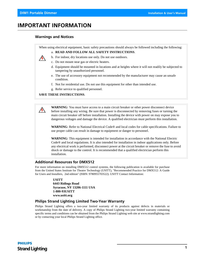$\mu$ 

## **IMPORTANT INFORMATION**

#### <span id="page-2-0"></span>**Warnings and Notices**

When using electrical equipment, basic safety precautions should always be followed including the following:

a. **READ AND FOLLOW ALL SAFETY INSTRUCTIONS**.



- c. Do not mount near gas or electric heaters.
- d. Equipment should be mounted in locations and at heights where it will not readily be subjected to tampering by unauthorized personnel.
- e. The use of accessory equipment not recommended by the manufacturer may cause an unsafe condition.
- f. Not for residential use. Do not use this equipment for other than intended use.
- g. Refer service to qualified personnel.

#### **SAVE THESE INSTRUCTIONS**.

**WARNING**: You must have access to a main circuit breaker or other power disconnect device before installing any wiring. Be sure that power is disconnected by removing fuses or turning the main circuit breaker off before installation. Installing the device with power on may expose you to dangerous voltages and damage the device. A qualified electrician must perform this installation.

**WARNING**: Refer to National Electrical Code® and local codes for cable specifications. Failure to use proper cable can result in damage to equipment or danger to personnel.

**WARNING**: This equipment is intended for installation in accordance with the National Electric Code® and local regulations. It is also intended for installation in indoor applications only. Before any electrical work is performed, disconnect power at the circuit breaker or remove the fuse to avoid shock or damage to the control. It is recommended that a qualified electrician perform this installation.

#### <span id="page-2-1"></span>**Additional Resources for DMX512**

For more information on installing DMX512 control systems, the following publication is available for purchase from the United States Institute for Theatre Technology (USITT), "Recommended Practice for DMX512: A Guide for Users and Installers, 2nd edition" (ISBN: 9780955703522). USITT Contact Information:

> **USITT 6443 Ridings Road Syracuse, NY 13206-1111 USA 1-800-93USITT www.usitt.org**

#### <span id="page-2-2"></span>**Philips Strand Lighting Limited Two-Year Warranty**

Philips Strand Lighting offers a two-year limited warranty of its products against defects in materials or workmanship from the date of delivery. A copy of Philips Strand Lighting two-year limited warranty containing specific terms and conditions can be obtained from the Philips Strand Lighting web site at www.strandlighting.com or by contacting your local Philips Strand Lighting office.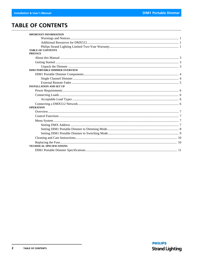## <span id="page-3-0"></span>**TABLE OF CONTENTS**

| <b>MPORTANT INFORMATION</b>          |  |
|--------------------------------------|--|
|                                      |  |
|                                      |  |
|                                      |  |
| <b>TABLE OF CONTENTS</b>             |  |
| <b>PREFACE</b>                       |  |
|                                      |  |
|                                      |  |
|                                      |  |
| <b>DIM1 PORTABLE DIMMER OVERVIEW</b> |  |
|                                      |  |
|                                      |  |
|                                      |  |
| <b>INSTALLATION AND SET UP</b>       |  |
|                                      |  |
|                                      |  |
|                                      |  |
|                                      |  |
| <b>OPERATION</b>                     |  |
|                                      |  |
|                                      |  |
|                                      |  |
|                                      |  |
|                                      |  |
|                                      |  |
|                                      |  |
|                                      |  |
| <b>TECHNICAL SPECIFICATIONS</b>      |  |
|                                      |  |
|                                      |  |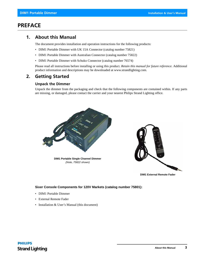## <span id="page-4-0"></span>**PREFACE**

## <span id="page-4-1"></span>**1. About this Manual**

The document provides installation and operation instructions for the following products:

- DIM1 Portable Dimmer with UK 15A Connector (catalog number 75821)
- DIM1 Portable Dimmer with Australian Connector (catalog number 75822)
- DIM1 Portable Dimmer with Schuko Connector (catalog number 76574)

Please read all instructions before installing or using this product. *Retain this manual for future reference*. Additional product information and descriptions may be downloaded at www.strandlighting.com.

## <span id="page-4-2"></span>**2. Getting Started**

#### <span id="page-4-3"></span>**Unpack the Dimmer**

Unpack the dimmer from the packaging and check that the following components are contained within. If any parts are missing, or damaged, please contact the carrier and your nearest Philips Strand Lighting office.



**DIM1 External Remote Fader**

#### **Sixer Console Components for 120V Markets (catalog number 75801):**

- DIM1 Portable Dimmer
- External Remote Fader
- Installation & User's Manual (this document)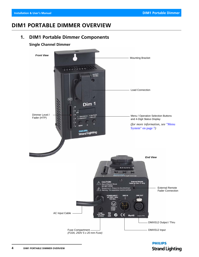## <span id="page-5-0"></span>**DIM1 PORTABLE DIMMER OVERVIEW**

## <span id="page-5-1"></span>**1. DIM1 Portable Dimmer Components**

#### <span id="page-5-2"></span>**Single Channel Dimmer**



## **PHILIPS Strand Lighting**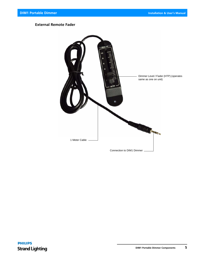#### <span id="page-6-0"></span>**External Remote Fader**

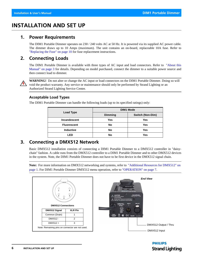## <span id="page-7-0"></span>**INSTALLATION AND SET UP**

### <span id="page-7-1"></span>**1. Power Requirements**

The DIM1 Portable Dimmer operates on 230 / 240 volts AC at 50 Hz. It is powered via its supplied AC power cable. The dimmer draws up to 10 Amps (maximum). The unit contains an on-board, replaceable 10A fuse. Refer to ["Replacing the Fuse" on page 10](#page-11-1) for fuse replacement instructions.

## <span id="page-7-2"></span>**2. Connecting Loads**

The DIM1 Portable Dimmer is available with three types of AC input and load connectors. Refer to ["About this](#page-4-1) [Manual" on page 3](#page-4-1) for details. Depending on model purchased, connect the dimmer to a suitable power source and then connect load to dimmer.



**WARNING!** Do not alter or change the AC input or load connectors on the DIM1 Portable Dimmer. Doing so will void the product warranty. Any service or maintenance should only be performed by Strand Lighting or an Authorized Strand Lighting Service Center.

#### <span id="page-7-3"></span>**Acceptable Load Types**

The DIM1 Portable Dimmer can handle the following loads (up to its specified ratings) only:

| Load Type          | <b>DIM1 Mode</b> |                  |  |
|--------------------|------------------|------------------|--|
|                    | Dimming          | Switch (Non-Dim) |  |
| Incandescent       | Yes              | Yes              |  |
| <b>Fluorescent</b> | <b>No</b>        | Yes              |  |
| <b>Inductive</b>   | <b>No</b>        | Yes              |  |
| ED                 | <b>No</b>        | Yes              |  |

## <span id="page-7-4"></span>**3. Connecting a DMX512 Network**

Basic DMX512 installation consists of connecting a DIM1 Portable Dimmer to a DMX512 controller in "daisychain" fashion. A cable runs from the DMX512 controller to a DIM1 Portable Dimmer and to other DMX512 devices in the system. Note, the DIM1 Portable Dimmer does not have to be first device in the DMX512 signal chain.

**Note:** For more information on DMX512 networking and systems, refer to ["Additional Resources for DMX512" on](#page-2-1)  [page 1](#page-2-1). For DIM1 Portable Dimmer DMX512 menu operation, refer to ["OPERATION" on page 7](#page-8-0).



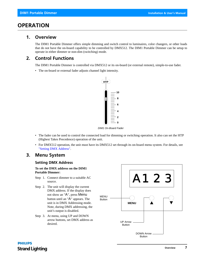## <span id="page-8-0"></span>**OPERATION**

#### <span id="page-8-1"></span>**1. Overview**

The DIM1 Portable Dimmer offers simple dimming and switch control to luminaires, color changers, or other loads that do not have the on-board capability to be controlled by DMX512. The DIM1 Portable Dimmer can be setup to operate in either dimmer or non-dim (switching) mode.

## <span id="page-8-2"></span>**2. Control Functions**

The DIM1 Portable Dimmer is controlled via DMX512 or its on-board (or external remote), simple-to-use fader.

• The on-board or external fader adjusts channel light intensity.



*DIM1 On-Board Fader*

- The fader can be used to control the connected load for dimming or switching operation. It also can set the HTP (Highest Takes Precedence) operation of the unit.
- For DMX512 operation, the unit must have its DMX512 set through its on-board menu system. For details, see ["Setting DMX Address"](#page-8-4).

## <span id="page-8-3"></span>**3. Menu System**

#### <span id="page-8-4"></span>**Setting DMX Address**

**To set the DMX address on the DIM1 Portable Dimmer:**

- Step 1. Connect dimmer to a suitable AC source.
- Step 2. The unit will display the current DMX address. If the display does not show an "A", press Menu button until an "A" appears. The unit is in DMX Addressing mode. Note, during DMX addressing, the unit's output is disabled.
- Step 3. At menu, using UP and DOWN arrow buttons, set DMX address as desired.



## **PHILIPS Strand Lighting**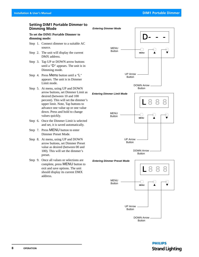#### <span id="page-9-0"></span>**Setting DIM1 Portable Dimmer to Dimming Mode**

#### **To set the DIM1 Portable Dimmer to dimming mode:**

- Step 1. Connect dimmer to a suitable AC source.
- Step 2. The unit will display the current DMX address.
- Step 3. Tap UP or DOWN arrow buttons until a "D" appears. The unit is in Dimming mode.
- Step 4. Press Menu button until a "L" appears. The unit is in Dimmer Limit mode.
- Step 5. At menu, using UP and DOWN arrow buttons, set Dimmer Limit as desired (between 10 and 100 percent). This will set the dimmer's upper limit. Note, Tap buttons to advance one value up or one value down. Press and hold to change values quickly.
- Step 6. Once the Dimmer Limit is selected and set, it is saved automatically.
- Step 7. Press MENU button to enter Dimmer Preset Mode.
- Step 8. At menu, using UP and DOWN arrow buttons, set Dimmer Preset value as desired (between 00 and 100). This will set the dimmer's preset.
- Step 9. Once all values or selections are complete, press MENU button to exit and save options. The unit should display its current DMX address.



UP Arrow

Button

DOWN Arrow **Button** 

## **PHILIPS Strand Lighting**

#### **8 OPERATION**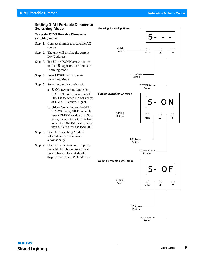#### <span id="page-10-0"></span>**Setting DIM1 Portable Dimmer to Switching Mode**

#### **To set the DIM1 Portable Dimmer to switching mode:**

- Step 1. Connect dimmer to a suitable AC source.
- Step 2. The unit will display the current DMX address.
- Step 3. Tap UP or DOWN arrow buttons until a "S" appears. The unit is in Dimming mode.
- Step 4. Press Menu button to enter Switching Mode.
- Step 5. Switching mode consists of:
	- a. S-ON (Switching Mode ON). In S-ON mode, the output of DIM1 is switched ON regardless of DMX512 control signal.
	- b. S-OF (switching mode OFF). In S-OF mode, DIM1, when it sees a DMX512 value of 40% or more, the unit turns ON the load. When the DMX512 value is less than 40%, it turns the load OFF.
- Step 6. Once the Switching Mode is selected and set, it is saved automatically.
- Step 7. Once all selections are complete, press MENU button to exit and save options. The unit should display its current DMX address.

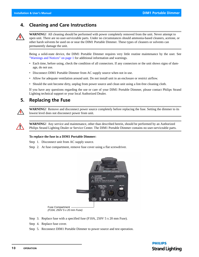## <span id="page-11-0"></span>**4. Cleaning and Care Instructions**



**WARNING!** All cleaning should be performed with power completely removed from the unit. Never attempt to open unit. There are no user-serviceable parts. Under no circumstances should ammonia-based cleaners, acetone, or other harsh solvents be used on or near the DIM1 Portable Dimmer. These types of cleaners or solvents can permanently damage the unit.

Being a solid-state device, the DIM1 Portable Dimmer requires very little routine maintenance by the user. See ["Warnings and Notices" on page 1](#page-2-0) for additional information and warnings.

- Each time, before using, check the condition of all connectors. If any connectors or the unit shows signs of damage, do not use.
- Disconnect DIM1 Portable Dimmer from AC supply source when not in use.
- Allow for adequate ventilation around unit. Do not install unit in an enclosure or restrict airflow.
- Should the unit become dirty, unplug from power source and clean unit using a lint-free cleaning cloth.

If you have any questions regarding the use or care of your DIM1 Portable Dimmer, please contact Philips Strand Lighting technical support or your local Authorized Dealer.

## <span id="page-11-1"></span>**5. Replacing the Fuse**



**WARNING!** Remove and disconnect power source completely before replacing the fuse. Setting the dimmer to its lowest level does not disconnect power from unit.



**WARNING!** Any service and maintenance, other than described herein, should be performed by an Authorized Philips Strand Lighting Dealer or Service Center. The DIM1 Portable Dimmer contains no user-serviceable parts.

#### **To replace the fuse in a DIM1 Portable Dimmer:**

Step 1. Disconnect unit from AC supply source.

Step 2. At fuse compartment, remove fuse cover using a flat screwdriver.



Fuse Compartment *(F10A, 250V 5 x 20 mm Fuse)*

- Step 3. Replace fuse with a specified fuse (F10A, 250V 5 x 20 mm Fuse).
- Step 4. Replace fuse cover.
- Step 5. Reconnect DIM1 Portable Dimmer to power source and test operation.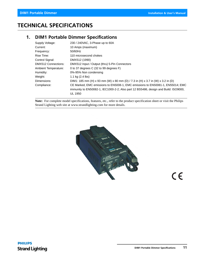## <span id="page-12-0"></span>**TECHNICAL SPECIFICATIONS**

## <span id="page-12-1"></span>**1. DIM1 Portable Dimmer Specifications**

| Supply Voltage:      | 230 / 240 VAC, 3-Phase up to 60A                                                                                                                                                        |
|----------------------|-----------------------------------------------------------------------------------------------------------------------------------------------------------------------------------------|
| Current:             | 10 Amps (maximum)                                                                                                                                                                       |
| Frequency:           | 50/60Hz                                                                                                                                                                                 |
| Rise Time:           | 110 microsecond chokes                                                                                                                                                                  |
| Control Signal:      | DMX512 (1990)                                                                                                                                                                           |
| DMX512 Connections:  | DMX512 Input / Output (thru) 5-Pin Connectors                                                                                                                                           |
| Ambient Temperature: | 0 to 37 degrees C (32 to 99 degrees F)                                                                                                                                                  |
| Humidity:            | 0%-95% Non condensing                                                                                                                                                                   |
| Weight:              | 1.1 kg $(2.4 \text{ lbs})$                                                                                                                                                              |
| Dimensions:          | DIM1: 185 mm (H) x 93 mm (W) x 80 mm (D) / 7.3 in (H) x 3.7 in (W) x 3.2 in (D)                                                                                                         |
| Compliance:          | CE Marked, EMC emissions to EN5008-1, EMC emissions to EN50081-1, EN55014; EMC<br>immunity to EN50082-1, IEC1000-2-2; Also part 12 BS5486, design and Build: ISO9000,<br><b>UL 1950</b> |

**Note:** For complete model specifications, features, etc., refer to the product specification sheet or visit the Philips Strand Lighting web site at www.strandlighting.com for more details.



 $C \in$